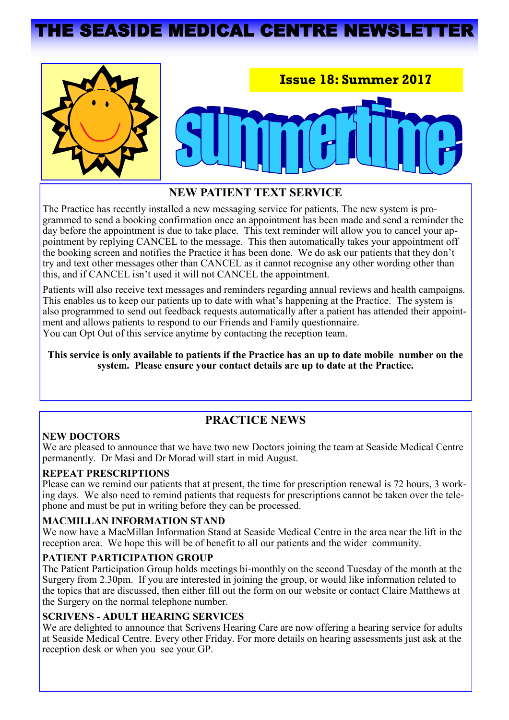# **THE SEASIDE MEDICAL CENTRE NEWSLET**





## **NEW PATIENT TEXT SERVICE**

The Practice has recently installed a new messaging service for patients. The new system is programmed to send a booking confirmation once an appointment has been made and send a reminder the day before the appointment is due to take place. This text reminder will allow you to cancel your appointment by replying CANCEL to the message. This then automatically takes your appointment off the booking screen and notifies the Practice it has been done. We do ask our patients that they don't try and text other messages other than CANCEL as it cannot recognise any other wording other than this, and if CANCEL isn't used it will not CANCEL the appointment.

Patients will also receive text messages and reminders regarding annual reviews and health campaigns. This enables us to keep our patients up to date with what's happening at the Practice. The system is also programmed to send out feedback requests automatically after a patient has attended their appointment and allows patients to respond to our Friends and Family questionnaire. You can Opt Out of this service anytime by contacting the reception team.

**This service is only available to patients if the Practice has an up to date mobile number on the system. Please ensure your contact details are up to date at the Practice.** 

# **PRACTICE NEWS**

#### **NEW DOCTORS**

We are pleased to announce that we have two new Doctors joining the team at Seaside Medical Centre permanently. Dr Masi and Dr Morad will start in mid August.

#### **REPEAT PRESCRIPTIONS**

Please can we remind our patients that at present, the time for prescription renewal is 72 hours, 3 working days. We also need to remind patients that requests for prescriptions cannot be taken over the telephone and must be put in writing before they can be processed.

#### **MACMILLAN INFORMATION STAND**

We now have a MacMillan Information Stand at Seaside Medical Centre in the area near the lift in the reception area. We hope this will be of benefit to all our patients and the wider community.

#### **PATIENT PARTICIPATION GROUP**

The Patient Participation Group holds meetings bi-monthly on the second Tuesday of the month at the Surgery from 2.30pm. If you are interested in joining the group, or would like information related to the topics that are discussed, then either fill out the form on our website or contact Claire Matthews at the Surgery on the normal telephone number.

#### **SCRIVENS - ADULT HEARING SERVICES**

We are delighted to announce that Scrivens Hearing Care are now offering a hearing service for adults at Seaside Medical Centre. Every other Friday. For more details on hearing assessments just ask at the reception desk or when you see your GP.